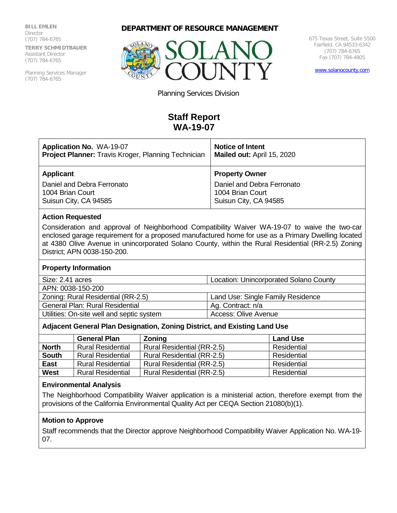**BILL EMLEN Director** (707) 784-6765 **TERRY SCHMIDTBAUER** Assistant Director (707) 784-6765

Planning Services Manager (707) 784-6765





675 Texas Street, Suite 5500 Fairfield, CA 94533-6342 (707) 784-6765 Fax (707) 784-4805

[www.solanocounty.com](http://www.solanocounty.com/)

Planning Services Division

# **Staff Report WA-19-07**

| <b>Application No. WA-19-07</b>                            | <b>Notice of Intent</b>    |  |
|------------------------------------------------------------|----------------------------|--|
| <b>Project Planner:</b> Travis Kroger, Planning Technician | Mailed out: April 15, 2020 |  |
| <b>Applicant</b>                                           | <b>Property Owner</b>      |  |
| Daniel and Debra Ferronato                                 | Daniel and Debra Ferronato |  |
| 1004 Brian Court                                           | 1004 Brian Court           |  |
| Suisun City, CA 94585                                      | Suisun City, CA 94585      |  |

## **Action Requested**

Consideration and approval of Neighborhood Compatibility Waiver WA-19-07 to waive the two-car enclosed garage requirement for a proposed manufactured home for use as a Primary Dwelling located at 4380 Olive Avenue in unincorporated Solano County, within the Rural Residential (RR-2.5) Zoning District; APN 0038-150-200.

#### **Property Information**

| Size: 2.41 acres                          | <b>Location: Unincorporated Solano County</b> |  |
|-------------------------------------------|-----------------------------------------------|--|
| APN: 0038-150-200                         |                                               |  |
| Zoning: Rural Residential (RR-2.5)        | Land Use: Single Family Residence             |  |
| General Plan: Rural Residential           | Ag. Contract: n/a                             |  |
| Utilities: On-site well and septic system | Access: Olive Avenue                          |  |

#### **Adjacent General Plan Designation, Zoning District, and Existing Land Use**

|              | <b>General Plan</b>      | Zoning                     | <b>Land Use</b> |  |
|--------------|--------------------------|----------------------------|-----------------|--|
| <b>North</b> | <b>Rural Residential</b> | Rural Residential (RR-2.5) | Residential     |  |
| <b>South</b> | <b>Rural Residential</b> | Rural Residential (RR-2.5) | Residential     |  |
| East         | <b>Rural Residential</b> | Rural Residential (RR-2.5) | Residential     |  |
| <b>West</b>  | <b>Rural Residential</b> | Rural Residential (RR-2.5) | Residential     |  |

### **Environmental Analysis**

The Neighborhood Compatibility Waiver application is a ministerial action, therefore exempt from the provisions of the California Environmental Quality Act per CEQA Section 21080(b)(1).

## **Motion to Approve**

Staff recommends that the Director approve Neighborhood Compatibility Waiver Application No. WA-19- 07.